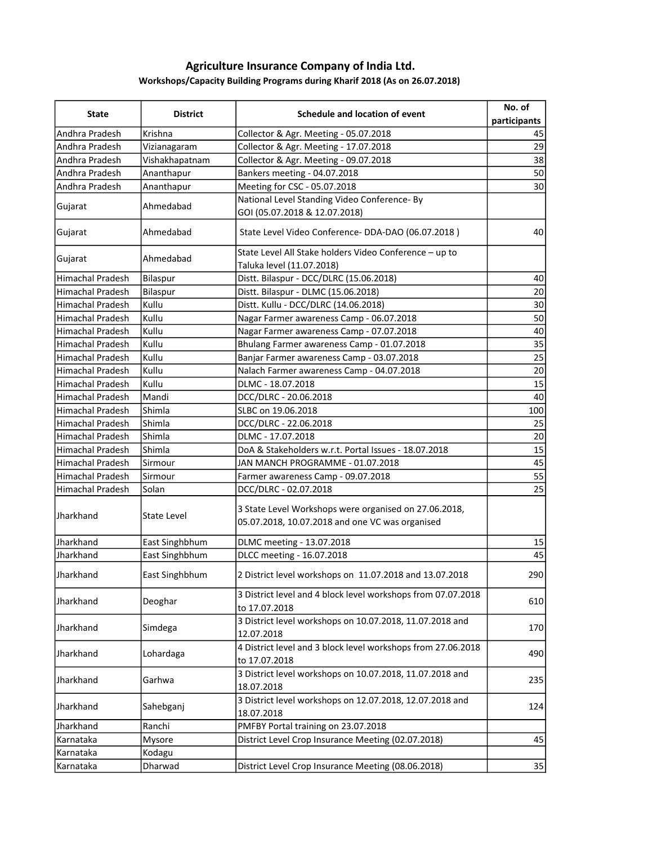## Agriculture Insurance Company of India Ltd. Workshops/Capacity Building Programs during Kharif 2018 (As on 26.07.2018)

| <b>State</b>            | <b>District</b> | Schedule and location of event                                                                           | No. of<br>participants |
|-------------------------|-----------------|----------------------------------------------------------------------------------------------------------|------------------------|
| Andhra Pradesh          | Krishna         | Collector & Agr. Meeting - 05.07.2018                                                                    | 45                     |
| Andhra Pradesh          | Vizianagaram    | Collector & Agr. Meeting - 17.07.2018                                                                    | 29                     |
| Andhra Pradesh          | Vishakhapatnam  | Collector & Agr. Meeting - 09.07.2018                                                                    | 38                     |
| Andhra Pradesh          | Ananthapur      | Bankers meeting - 04.07.2018                                                                             | 50                     |
| Andhra Pradesh          | Ananthapur      | Meeting for CSC - 05.07.2018                                                                             | 30                     |
|                         |                 | National Level Standing Video Conference- By                                                             |                        |
| Gujarat                 | Ahmedabad       | GOI (05.07.2018 & 12.07.2018)                                                                            |                        |
| Gujarat                 | Ahmedabad       | State Level Video Conference-DDA-DAO (06.07.2018)                                                        | 40                     |
| Gujarat                 | Ahmedabad       | State Level All Stake holders Video Conference - up to<br>Taluka level (11.07.2018)                      |                        |
| <b>Himachal Pradesh</b> | Bilaspur        | Distt. Bilaspur - DCC/DLRC (15.06.2018)                                                                  | 40                     |
| <b>Himachal Pradesh</b> | Bilaspur        | Distt. Bilaspur - DLMC (15.06.2018)                                                                      | 20                     |
| <b>Himachal Pradesh</b> | Kullu           | Distt. Kullu - DCC/DLRC (14.06.2018)                                                                     | 30                     |
| Himachal Pradesh        | Kullu           | Nagar Farmer awareness Camp - 06.07.2018                                                                 | 50                     |
| <b>Himachal Pradesh</b> | Kullu           | Nagar Farmer awareness Camp - 07.07.2018                                                                 | 40                     |
| <b>Himachal Pradesh</b> | Kullu           | Bhulang Farmer awareness Camp - 01.07.2018                                                               | 35                     |
| <b>Himachal Pradesh</b> | Kullu           | Banjar Farmer awareness Camp - 03.07.2018                                                                | 25                     |
| <b>Himachal Pradesh</b> | Kullu           | Nalach Farmer awareness Camp - 04.07.2018                                                                | 20                     |
| <b>Himachal Pradesh</b> | Kullu           | DLMC - 18.07.2018                                                                                        | 15                     |
| Himachal Pradesh        | Mandi           | DCC/DLRC - 20.06.2018                                                                                    | 40                     |
| Himachal Pradesh        | Shimla          | SLBC on 19.06.2018                                                                                       | 100                    |
| Himachal Pradesh        | Shimla          | DCC/DLRC - 22.06.2018                                                                                    | 25                     |
| Himachal Pradesh        | Shimla          | DLMC - 17.07.2018                                                                                        | 20                     |
| Himachal Pradesh        | Shimla          | DoA & Stakeholders w.r.t. Portal Issues - 18.07.2018                                                     | 15                     |
| <b>Himachal Pradesh</b> | Sirmour         | JAN MANCH PROGRAMME - 01.07.2018                                                                         | 45                     |
| <b>Himachal Pradesh</b> | Sirmour         | Farmer awareness Camp - 09.07.2018                                                                       | 55                     |
| <b>Himachal Pradesh</b> | Solan           | DCC/DLRC - 02.07.2018                                                                                    | 25                     |
| <b>Jharkhand</b>        | State Level     | 3 State Level Workshops were organised on 27.06.2018,<br>05.07.2018, 10.07.2018 and one VC was organised |                        |
| Jharkhand               | East Singhbhum  | DLMC meeting - 13.07.2018                                                                                | 15                     |
| Jharkhand               | East Singhbhum  | DLCC meeting - 16.07.2018                                                                                | 45                     |
| Jharkhand               | East Singhbhum  | 2 District level workshops on 11.07.2018 and 13.07.2018                                                  | 290                    |
| Jharkhand               | Deoghar         | 3 District level and 4 block level workshops from 07.07.2018<br>to 17.07.2018                            | 610                    |
| Jharkhand               | Simdega         | 3 District level workshops on 10.07.2018, 11.07.2018 and<br>12.07.2018                                   | 170                    |
| Jharkhand               | Lohardaga       | 4 District level and 3 block level workshops from 27.06.2018<br>to 17.07.2018                            | 490                    |
| Jharkhand               | Garhwa          | 3 District level workshops on 10.07.2018, 11.07.2018 and<br>18.07.2018                                   | 235                    |
| Jharkhand               | Sahebganj       | 3 District level workshops on 12.07.2018, 12.07.2018 and<br>18.07.2018                                   | 124                    |
| Jharkhand               | Ranchi          | PMFBY Portal training on 23.07.2018                                                                      |                        |
| Karnataka               | Mysore          | District Level Crop Insurance Meeting (02.07.2018)                                                       | 45                     |
| Karnataka               | Kodagu          |                                                                                                          |                        |
| Karnataka               | Dharwad         | District Level Crop Insurance Meeting (08.06.2018)                                                       | 35                     |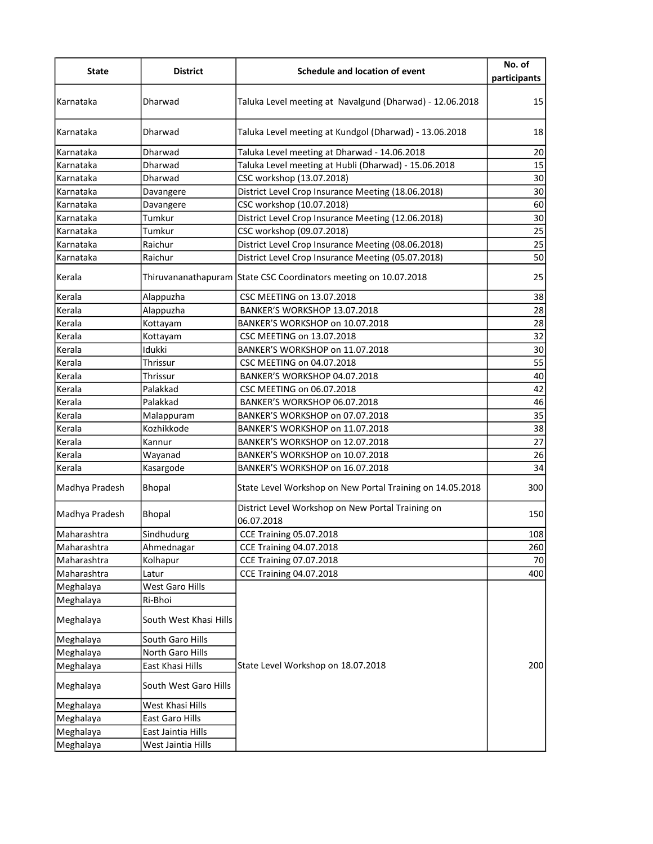| <b>State</b>   | <b>District</b>        | Schedule and location of event                                   | No. of<br>participants |
|----------------|------------------------|------------------------------------------------------------------|------------------------|
| Karnataka      | Dharwad                | Taluka Level meeting at Navalgund (Dharwad) - 12.06.2018         | 15                     |
| Karnataka      | Dharwad                | Taluka Level meeting at Kundgol (Dharwad) - 13.06.2018           | 18                     |
| Karnataka      | Dharwad                | Taluka Level meeting at Dharwad - 14.06.2018                     | 20                     |
| Karnataka      | Dharwad                | Taluka Level meeting at Hubli (Dharwad) - 15.06.2018             | 15                     |
| Karnataka      | Dharwad                | CSC workshop (13.07.2018)                                        | 30                     |
| Karnataka      | Davangere              | District Level Crop Insurance Meeting (18.06.2018)               | 30                     |
| Karnataka      | Davangere              | CSC workshop (10.07.2018)                                        | 60                     |
| Karnataka      | Tumkur                 | District Level Crop Insurance Meeting (12.06.2018)               | 30                     |
| Karnataka      | Tumkur                 | CSC workshop (09.07.2018)                                        | 25                     |
| Karnataka      | Raichur                | District Level Crop Insurance Meeting (08.06.2018)               | 25                     |
| Karnataka      | Raichur                | District Level Crop Insurance Meeting (05.07.2018)               | $\overline{50}$        |
| Kerala         |                        | Thiruvananathapuram State CSC Coordinators meeting on 10.07.2018 | 25                     |
| Kerala         | Alappuzha              | CSC MEETING on 13.07.2018                                        | 38                     |
| Kerala         | Alappuzha              | BANKER'S WORKSHOP 13.07.2018                                     | 28                     |
| Kerala         | Kottayam               | BANKER'S WORKSHOP on 10.07.2018                                  | 28                     |
| Kerala         | Kottayam               | CSC MEETING on 13.07.2018                                        | 32                     |
| Kerala         | Idukki                 | BANKER'S WORKSHOP on 11.07.2018                                  | 30                     |
| Kerala         | Thrissur               | CSC MEETING on 04.07.2018                                        | 55                     |
| Kerala         | Thrissur               | BANKER'S WORKSHOP 04.07.2018                                     | 40                     |
| Kerala         | Palakkad               | CSC MEETING on 06.07.2018                                        | 42                     |
| Kerala         | Palakkad               | BANKER'S WORKSHOP 06.07.2018                                     | 46                     |
| Kerala         | Malappuram             | BANKER'S WORKSHOP on 07.07.2018                                  | 35                     |
| Kerala         | Kozhikkode             | BANKER'S WORKSHOP on 11.07.2018                                  | 38                     |
| Kerala         | Kannur                 | BANKER'S WORKSHOP on 12.07.2018                                  | $\overline{27}$        |
| Kerala         | Wayanad                | BANKER'S WORKSHOP on 10.07.2018                                  | 26                     |
| Kerala         | Kasargode              | BANKER'S WORKSHOP on 16.07.2018                                  | $\overline{34}$        |
| Madhya Pradesh | Bhopal                 | State Level Workshop on New Portal Training on 14.05.2018        | 300                    |
| Madhya Pradesh | Bhopal                 | District Level Workshop on New Portal Training on<br>06.07.2018  | 150                    |
| Maharashtra    | Sindhudurg             | <b>CCE Training 05.07.2018</b>                                   | 108                    |
| Maharashtra    | Ahmednagar             | <b>CCE Training 04.07.2018</b>                                   | 260                    |
| Maharashtra    | Kolhapur               | <b>CCE Training 07.07.2018</b>                                   | 70                     |
| Maharashtra    | Latur                  | <b>CCE Training 04.07.2018</b>                                   | 400                    |
| Meghalaya      | West Garo Hills        |                                                                  |                        |
| Meghalaya      | Ri-Bhoi                |                                                                  |                        |
| Meghalaya      | South West Khasi Hills |                                                                  |                        |
| Meghalaya      | South Garo Hills       |                                                                  |                        |
| Meghalaya      | North Garo Hills       |                                                                  |                        |
| Meghalaya      | East Khasi Hills       | State Level Workshop on 18.07.2018                               | 200                    |
| Meghalaya      | South West Garo Hills  |                                                                  |                        |
| Meghalaya      | West Khasi Hills       |                                                                  |                        |
| Meghalaya      | East Garo Hills        |                                                                  |                        |
| Meghalaya      | East Jaintia Hills     |                                                                  |                        |
| Meghalaya      | West Jaintia Hills     |                                                                  |                        |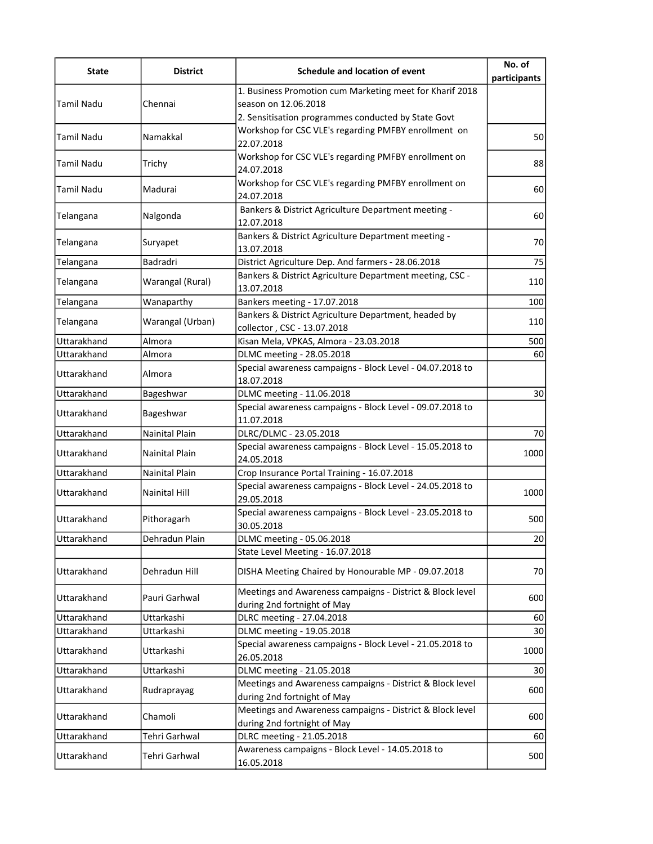| <b>State</b>      | <b>District</b>       | Schedule and location of event                                                           | No. of<br>participants |
|-------------------|-----------------------|------------------------------------------------------------------------------------------|------------------------|
| <b>Tamil Nadu</b> |                       | 1. Business Promotion cum Marketing meet for Kharif 2018                                 |                        |
|                   | Chennai               | season on 12.06.2018                                                                     |                        |
|                   |                       | 2. Sensitisation programmes conducted by State Govt                                      |                        |
| Tamil Nadu        | Namakkal              | Workshop for CSC VLE's regarding PMFBY enrollment on<br>22.07.2018                       | 50                     |
| Tamil Nadu        | Trichy                | Workshop for CSC VLE's regarding PMFBY enrollment on<br>24.07.2018                       | 88                     |
| Tamil Nadu        | Madurai               | Workshop for CSC VLE's regarding PMFBY enrollment on<br>24.07.2018                       | 60                     |
| Telangana         | Nalgonda              | Bankers & District Agriculture Department meeting -<br>12.07.2018                        | 60                     |
| Telangana         | Suryapet              | Bankers & District Agriculture Department meeting -<br>13.07.2018                        | 70                     |
| Telangana         | Badradri              | District Agriculture Dep. And farmers - 28.06.2018                                       | 75                     |
| Telangana         | Warangal (Rural)      | Bankers & District Agriculture Department meeting, CSC -<br>13.07.2018                   | 110                    |
| Telangana         | Wanaparthy            | Bankers meeting - 17.07.2018                                                             | 100                    |
| Telangana         | Warangal (Urban)      | Bankers & District Agriculture Department, headed by<br>collector, CSC - 13.07.2018      | 110                    |
| Uttarakhand       | Almora                | Kisan Mela, VPKAS, Almora - 23.03.2018                                                   | 500                    |
| Uttarakhand       | Almora                | DLMC meeting - 28.05.2018                                                                | 60                     |
| Uttarakhand       | Almora                | Special awareness campaigns - Block Level - 04.07.2018 to<br>18.07.2018                  |                        |
| Uttarakhand       | Bageshwar             | DLMC meeting - 11.06.2018                                                                | 30                     |
| Uttarakhand       | Bageshwar             | Special awareness campaigns - Block Level - 09.07.2018 to<br>11.07.2018                  |                        |
| Uttarakhand       | Nainital Plain        | DLRC/DLMC - 23.05.2018                                                                   | 70                     |
| Uttarakhand       | <b>Nainital Plain</b> | Special awareness campaigns - Block Level - 15.05.2018 to<br>24.05.2018                  | 1000                   |
| Uttarakhand       | Nainital Plain        | Crop Insurance Portal Training - 16.07.2018                                              |                        |
| Uttarakhand       | Nainital Hill         | Special awareness campaigns - Block Level - 24.05.2018 to<br>29.05.2018                  | 1000                   |
| Uttarakhand       | Pithoragarh           | Special awareness campaigns - Block Level - 23.05.2018 to<br>30.05.2018                  | 500                    |
| Uttarakhand       | Dehradun Plain        | DLMC meeting - 05.06.2018                                                                | 20                     |
|                   |                       | State Level Meeting - 16.07.2018                                                         |                        |
| Uttarakhand       | Dehradun Hill         | DISHA Meeting Chaired by Honourable MP - 09.07.2018                                      | 70                     |
| Uttarakhand       | Pauri Garhwal         | Meetings and Awareness campaigns - District & Block level<br>during 2nd fortnight of May | 600                    |
| Uttarakhand       | Uttarkashi            | DLRC meeting - 27.04.2018                                                                | 60                     |
| Uttarakhand       | Uttarkashi            | DLMC meeting - 19.05.2018                                                                | 30                     |
| Uttarakhand       | Uttarkashi            | Special awareness campaigns - Block Level - 21.05.2018 to<br>26.05.2018                  | 1000                   |
| Uttarakhand       | Uttarkashi            | DLMC meeting - 21.05.2018                                                                | 30                     |
| Uttarakhand       | Rudraprayag           | Meetings and Awareness campaigns - District & Block level<br>during 2nd fortnight of May | 600                    |
| Uttarakhand       | Chamoli               | Meetings and Awareness campaigns - District & Block level<br>during 2nd fortnight of May | 600                    |
| Uttarakhand       | Tehri Garhwal         | DLRC meeting - 21.05.2018                                                                | 60                     |
| Uttarakhand       | Tehri Garhwal         | Awareness campaigns - Block Level - 14.05.2018 to<br>16.05.2018                          | 500                    |